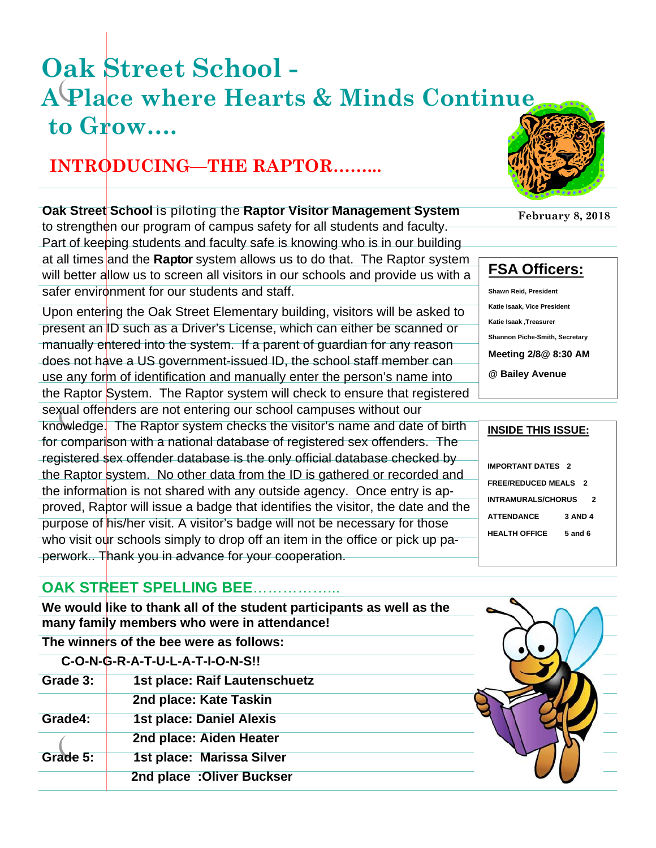# **Oak Street School - A Place where Hearts & Minds Continue to Grow….**

# **INTRODUCING—THE RAPTOR……...**

#### **Oak Street School** is piloting the **Raptor Visitor Management System**

to strengthen our program of campus safety for all students and faculty. Part of keeping students and faculty safe is knowing who is in our building at all times and the **Raptor** system allows us to do that. The Raptor system will better allow us to screen all visitors in our schools and provide us with a safer environment for our students and staff.

Upon entering the Oak Street Elementary building, visitors will be asked to present an ID such as a Driver's License, which can either be scanned or manually entered into the system. If a parent of guardian for any reason does not have a US government-issued ID, the school staff member can use any form of identification and manually enter the person's name into the Raptor System. The Raptor system will check to ensure that registered sexual offenders are not entering our school campuses without our knowledge. The Raptor system checks the visitor's name and date of birth for comparison with a national database of registered sex offenders. The registered sex offender database is the only official database checked by the Raptor system. No other data from the ID is gathered or recorded and the information is not shared with any outside agency. Once entry is approved, Raptor will issue a badge that identifies the visitor, the date and the purpose of his/her visit. A visitor's badge will not be necessary for those who visit our schools simply to drop off an item in the office or pick up paperwork.. Thank you in advance for your cooperation.

## **OAK STREET SPELLING BEE**……………...

**We would like to thank all of the student participants as well as the many family members who were in attendance!** 

**The winners of the bee were as follows:** 

#### **C-O-N-G-R-A-T-U-L-A-T-I-O-N-S!!**

| Grade 3: | 1st place: Raif Lautenschuetz   |
|----------|---------------------------------|
|          | 2nd place: Kate Taskin          |
| Grade4:  | <b>1st place: Daniel Alexis</b> |
|          | 2nd place: Aiden Heater         |
| Grade 5: | 1st place: Marissa Silver       |
|          | 2nd place : Oliver Buckser      |



**February 8, 2018** 

### **FSA Officers:**

**Shawn Reid, President Katie Isaak, Vice President Katie Isaak ,Treasurer Shannon Piche-Smith, Secretary Meeting 2/8@ 8:30 AM @ Bailey Avenue** 

| INSIDE THIS ISSUE:             |             |  |
|--------------------------------|-------------|--|
|                                |             |  |
| <b>IMPORTANT DATES 2</b>       |             |  |
| <b>FREE/REDUCED MEALS 2</b>    |             |  |
| <b>INTRAMURALS/CHORUS</b><br>2 |             |  |
| <b>ATTENDANCE</b>              | 3 AND 4     |  |
| <b>HEALTH OFFICE</b>           | $5$ and $6$ |  |
|                                |             |  |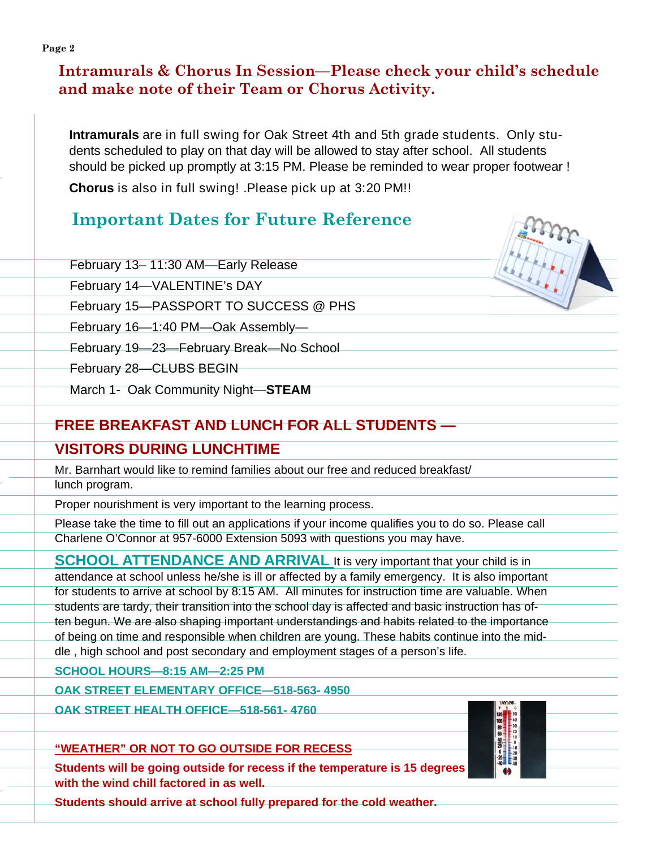### **Intramurals & Chorus In Session—Please check your child's schedule and make note of their Team or Chorus Activity.**

**Intramurals** are in full swing for Oak Street 4th and 5th grade students. Only students scheduled to play on that day will be allowed to stay after school. All students should be picked up promptly at 3:15 PM. Please be reminded to wear proper footwear !

**Chorus** is also in full swing! .Please pick up at 3:20 PM!!

# **Important Dates for Future Reference**

February 13– 11:30 AM—Early Release

February 14—VALENTINE's DAY

February 15—PASSPORT TO SUCCESS @ PHS

February 16—1:40 PM—Oak Assembly—

February 19—23—February Break—No School

February 28—CLUBS BEGIN

March 1- Oak Community Night—**STEAM**

# **FREE BREAKFAST AND LUNCH FOR ALL STUDENTS —**

## **VISITORS DURING LUNCHTIME**

Mr. Barnhart would like to remind families about our free and reduced breakfast/ lunch program.

Proper nourishment is very important to the learning process.

Please take the time to fill out an applications if your income qualifies you to do so. Please call Charlene O'Connor at 957-6000 Extension 5093 with questions you may have.

## **SCHOOL ATTENDANCE AND ARRIVAL** It is very important that your child is in

attendance at school unless he/she is ill or affected by a family emergency. It is also important for students to arrive at school by 8:15 AM. All minutes for instruction time are valuable. When students are tardy, their transition into the school day is affected and basic instruction has often begun. We are also shaping important understandings and habits related to the importance of being on time and responsible when children are young. These habits continue into the middle , high school and post secondary and employment stages of a person's life.

**SCHOOL HOURS—8:15 AM—2:25 PM** 

**OAK STREET ELEMENTARY OFFICE—518-563- 4950** 

**OAK STREET HEALTH OFFICE—518-561- 4760** 

**"WEATHER" OR NOT TO GO OUTSIDE FOR RECESS** 

**Students will be going outside for recess if the temperature is 15 degrees with the wind chill factored in as well.** 

**Students should arrive at school fully prepared for the cold weather.** 



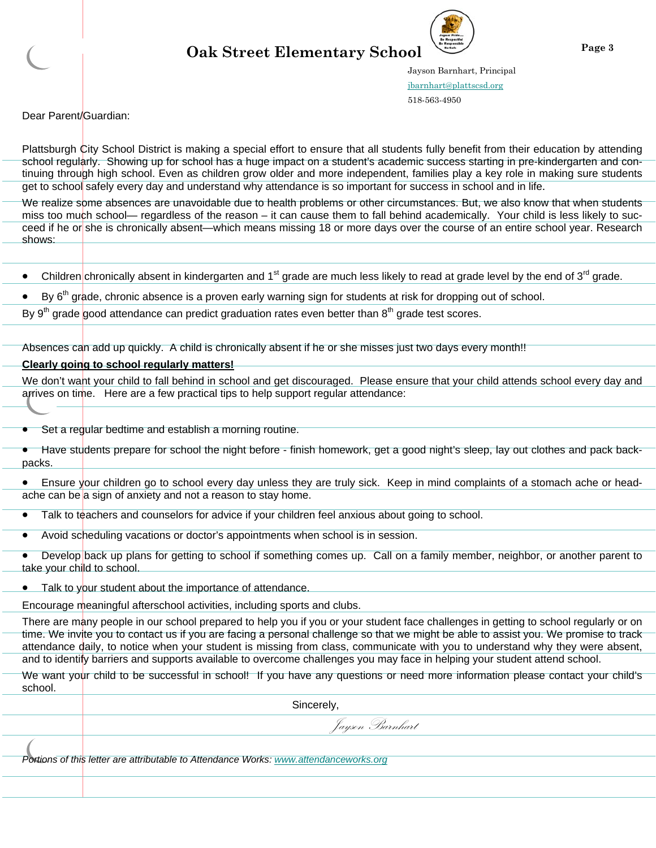### **Page 3** Page 3



 Jayson Barnhart, Principal jbarnhart@plattscsd.org 518-563-4950

Dear Parent/Guardian:

Plattsburgh City School District is making a special effort to ensure that all students fully benefit from their education by attending school regularly. Showing up for school has a huge impact on a student's academic success starting in pre-kindergarten and continuing through high school. Even as children grow older and more independent, families play a key role in making sure students get to school safely every day and understand why attendance is so important for success in school and in life.

We realize some absences are unavoidable due to health problems or other circumstances. But, we also know that when students miss too much school— regardless of the reason – it can cause them to fall behind academically. Your child is less likely to succeed if he or she is chronically absent—which means missing 18 or more days over the course of an entire school year. Research shows:

• Children chronically absent in kindergarten and 1<sup>st</sup> grade are much less likely to read at grade level by the end of 3<sup>rd</sup> grade.

By 6<sup>th</sup> grade, chronic absence is a proven early warning sign for students at risk for dropping out of school.

By  $9<sup>th</sup>$  grade good attendance can predict graduation rates even better than  $8<sup>th</sup>$  grade test scores.

Absences can add up quickly. A child is chronically absent if he or she misses just two days every month!!

#### **Clearly going to school regularly matters!**

We don't want your child to fall behind in school and get discouraged. Please ensure that your child attends school every day and arrives on time. Here are a few practical tips to help support regular attendance:

- Set a regular bedtime and establish a morning routine.
- Have students prepare for school the night before finish homework, get a good night's sleep, lay out clothes and pack backpacks.
- Ensure your children go to school every day unless they are truly sick. Keep in mind complaints of a stomach ache or headache can be a sign of anxiety and not a reason to stay home.
- Talk to teachers and counselors for advice if your children feel anxious about going to school.
- Avoid scheduling vacations or doctor's appointments when school is in session.
- Develop back up plans for getting to school if something comes up. Call on a family member, neighbor, or another parent to take your child to school.
- Talk to your student about the importance of attendance.

Encourage meaningful afterschool activities, including sports and clubs.

There are many people in our school prepared to help you if you or your student face challenges in getting to school regularly or on time. We invite you to contact us if you are facing a personal challenge so that we might be able to assist you. We promise to track attendance daily, to notice when your student is missing from class, communicate with you to understand why they were absent, and to identify barriers and supports available to overcome challenges you may face in helping your student attend school.

We want your child to be successful in school! If you have any questions or need more information please contact your child's school.

Sincerely,

Jayson Barnhart

*Portions of this letter are attributable to Attendance Works: www.attendanceworks.org*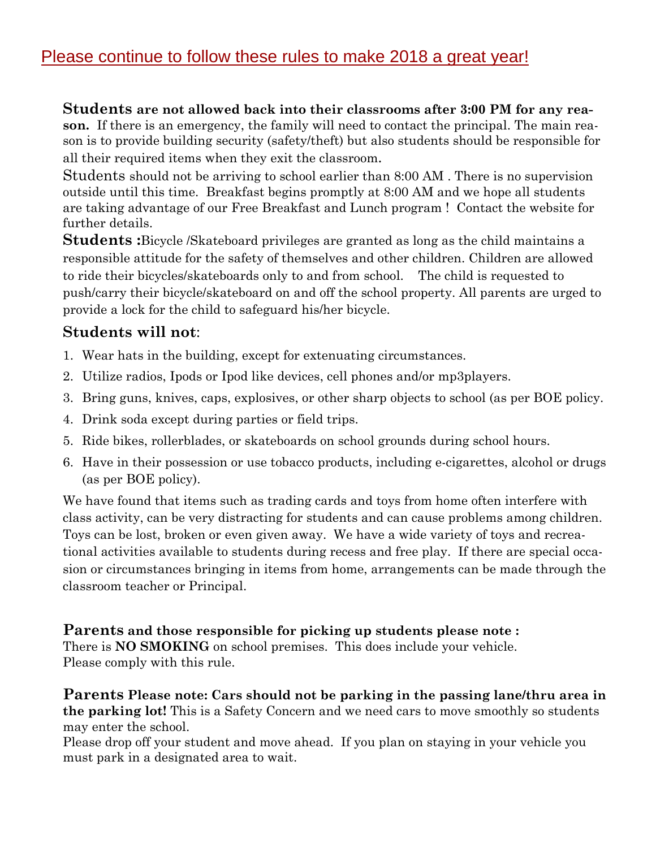## Please continue to follow these rules to make 2018 a great year!

#### **Students are not allowed back into their classrooms after 3:00 PM for any rea-**

**son.** If there is an emergency, the family will need to contact the principal. The main reason is to provide building security (safety/theft) but also students should be responsible for all their required items when they exit the classroom.

Students should not be arriving to school earlier than 8:00 AM . There is no supervision outside until this time. Breakfast begins promptly at 8:00 AM and we hope all students are taking advantage of our Free Breakfast and Lunch program ! Contact the website for further details.

**Students :**Bicycle /Skateboard privileges are granted as long as the child maintains a responsible attitude for the safety of themselves and other children. Children are allowed to ride their bicycles/skateboards only to and from school. The child is requested to push/carry their bicycle/skateboard on and off the school property. All parents are urged to provide a lock for the child to safeguard his/her bicycle.

#### **Students will not**:

- 1. Wear hats in the building, except for extenuating circumstances.
- 2. Utilize radios, Ipods or Ipod like devices, cell phones and/or mp3players.
- 3. Bring guns, knives, caps, explosives, or other sharp objects to school (as per BOE policy.
- 4. Drink soda except during parties or field trips.
- 5. Ride bikes, rollerblades, or skateboards on school grounds during school hours.
- 6. Have in their possession or use tobacco products, including e-cigarettes, alcohol or drugs (as per BOE policy).

We have found that items such as trading cards and toys from home often interfere with class activity, can be very distracting for students and can cause problems among children. Toys can be lost, broken or even given away. We have a wide variety of toys and recreational activities available to students during recess and free play. If there are special occasion or circumstances bringing in items from home, arrangements can be made through the classroom teacher or Principal.

**Parents and those responsible for picking up students please note :**  There is **NO SMOKING** on school premises. This does include your vehicle. Please comply with this rule.

**Parents Please note: Cars should not be parking in the passing lane/thru area in the parking lot!** This is a Safety Concern and we need cars to move smoothly so students may enter the school.

Please drop off your student and move ahead. If you plan on staying in your vehicle you must park in a designated area to wait.